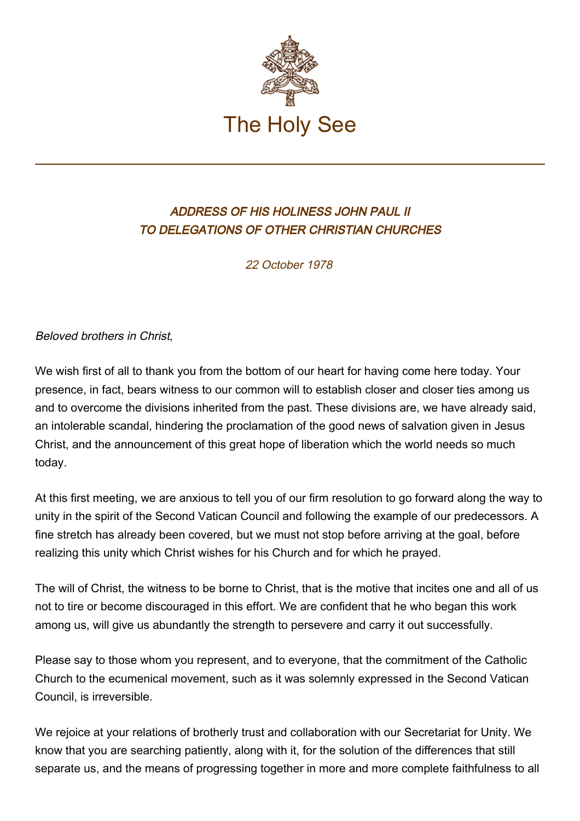

## ADDRESS OF HIS HOLINESS JOHN PAUL II TO DELEGATIONS OF OTHER CHRISTIAN CHURCHES

22 October 1978

Beloved brothers in Christ,

We wish first of all to thank you from the bottom of our heart for having come here today. Your presence, in fact, bears witness to our common will to establish closer and closer ties among us and to overcome the divisions inherited from the past. These divisions are, we have already said, an intolerable scandal, hindering the proclamation of the good news of salvation given in Jesus Christ, and the announcement of this great hope of liberation which the world needs so much today.

At this first meeting, we are anxious to tell you of our firm resolution to go forward along the way to unity in the spirit of the Second Vatican Council and following the example of our predecessors. A fine stretch has already been covered, but we must not stop before arriving at the goal, before realizing this unity which Christ wishes for his Church and for which he prayed.

The will of Christ, the witness to be borne to Christ, that is the motive that incites one and all of us not to tire or become discouraged in this effort. We are confident that he who began this work among us, will give us abundantly the strength to persevere and carry it out successfully.

Please say to those whom you represent, and to everyone, that the commitment of the Catholic Church to the ecumenical movement, such as it was solemnly expressed in the Second Vatican Council, is irreversible.

We rejoice at your relations of brotherly trust and collaboration with our Secretariat for Unity. We know that you are searching patiently, along with it, for the solution of the differences that still separate us, and the means of progressing together in more and more complete faithfulness to all